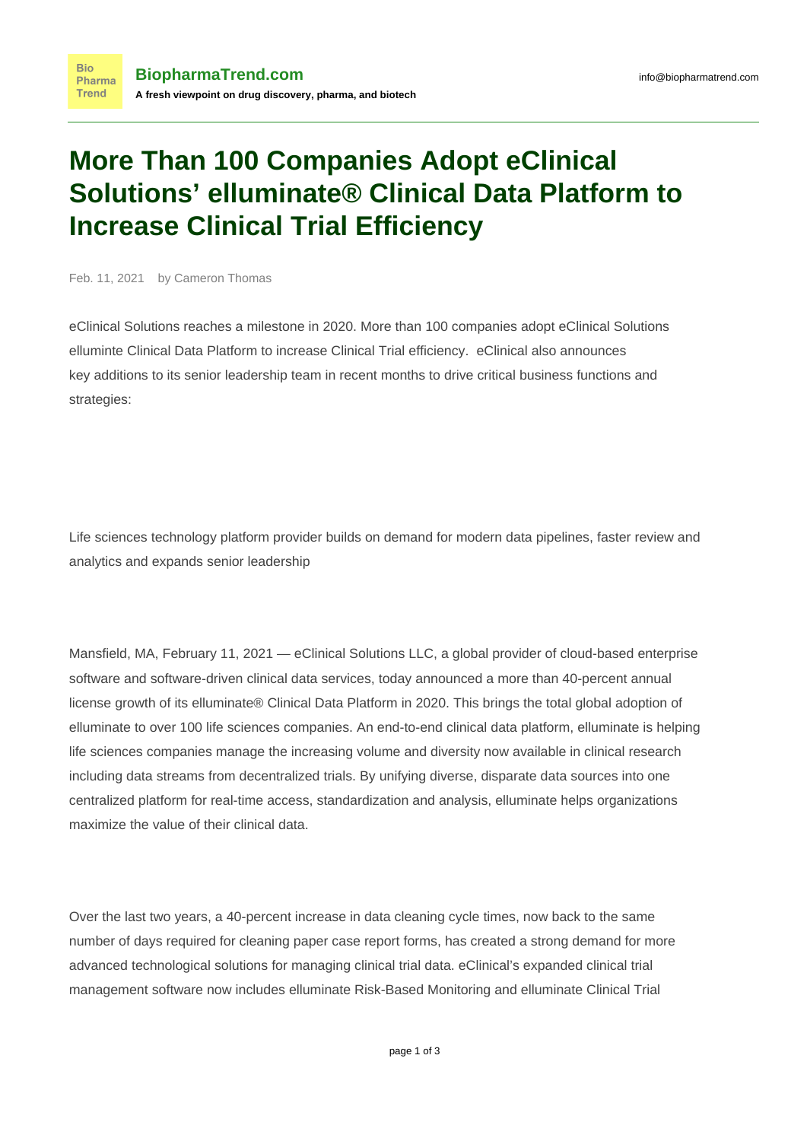## **More Than 100 Companies Adopt eClinical Solutions' elluminate® Clinical Data Platform to Increase Clinical Trial Efficiency**

Feb. 11, 2021 by Cameron Thomas

eClinical Solutions reaches a milestone in 2020. More than 100 companies adopt eClinical Solutions elluminte Clinical Data Platform to increase Clinical Trial efficiency. eClinical also announces key additions to its senior leadership team in recent months to drive critical business functions and strategies:

Life sciences technology platform provider builds on demand for modern data pipelines, faster review and analytics and expands senior leadership

Mansfield, MA, February 11, 2021 — [eClinical Solutions LLC,](https://www.eclinicalsol.com/) a global provider of cloud-based enterprise software and software-driven clinical data services, today announced a more than 40-percent annual license growth of its [elluminate® Clinical Data Platform](https://www.eclinicalsol.com/products/) in 2020. This brings the total global adoption of elluminate to over 100 life sciences companies. An end-to-end clinical data platform, elluminate is helping life sciences companies manage the increasing volume and diversity now available in clinical research including data streams from decentralized trials. By unifying diverse, disparate data sources into one centralized platform for real-time access, standardization and analysis, elluminate helps organizations maximize the value of their clinical data.

Over the last two years, a [40-percent](https://www.eclinicalsol.com/resources/the-tufts-eclinical-solutions-data-strategies-transformation-study/) increase in data cleaning cycle times, now back to the same number of days required for cleaning paper case report forms, has created a strong demand for more advanced technological solutions for managing clinical trial data. eClinical's expanded clinical trial management software now includes [elluminate Risk-Based Monitoring](https://www.eclinicalsol.com/products/risk-based-monitoring/) and [elluminate Clinical Trial](https://www.eclinicalsol.com/products/ctms/)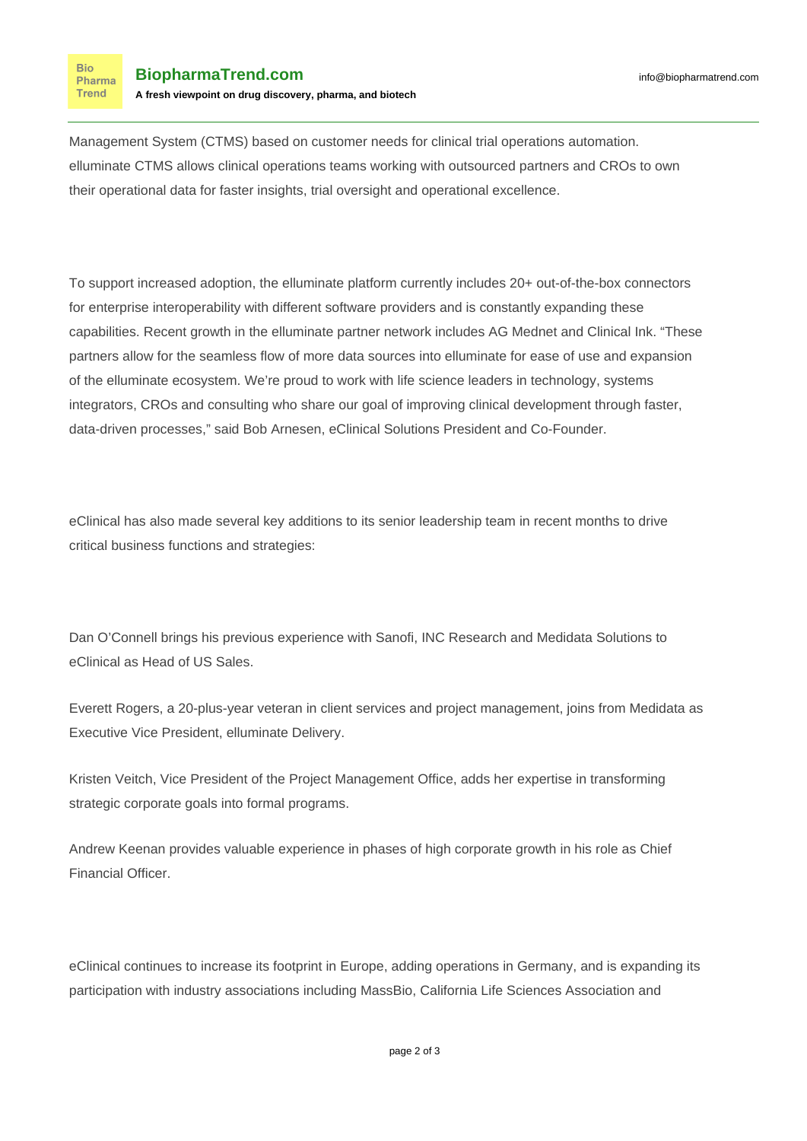[Management System \(CTMS\)](https://www.eclinicalsol.com/products/ctms/) based on customer needs for clinical trial operations automation. elluminate CTMS allows clinical operations teams working with outsourced partners and CROs to own their operational data for faster insights, trial oversight and operational excellence.

To support increased adoption, the elluminate platform currently includes 20+ out-of-the-box connectors for enterprise interoperability with different software providers and is constantly expanding these capabilities. Recent growth in the elluminate partner network includes [AG Mednet](https://agmednet.com/) and [Clinical Ink.](https://www.clinicalink.com/) "These partners allow for the seamless flow of more data sources into elluminate for ease of use and expansion of the elluminate ecosystem. We're proud to work with life science leaders in technology, systems integrators, CROs and consulting who share our goal of improving clinical development through faster, data-driven processes," said [Bob Arnesen](https://www.linkedin.com/in/bobarnesen/), eClinical Solutions President and Co-Founder.

eClinical has also made several key additions to its senior leadership team in recent months to drive critical business functions and strategies:

[Dan O'Connell](https://www.linkedin.com/in/dan-o-connell-1b4b2320/) brings his previous experience with Sanofi, INC Research and Medidata Solutions to eClinical as Head of US Sales.

[Everett Rogers,](https://www.linkedin.com/in/everettrogers/) a 20-plus-year veteran in client services and project management, joins from Medidata as Executive Vice President, elluminate Delivery.

[Kristen Veitch,](https://www.linkedin.com/in/kristenveitch/) Vice President of the Project Management Office, adds her expertise in transforming strategic corporate goals into formal programs.

[Andrew Keenan](https://www.linkedin.com/in/andrew-keenan-8a5ab92/) provides valuable experience in phases of high corporate growth in his role as Chief Financial Officer.

eClinical continues to increase its footprint in Europe, adding operations in Germany, and is expanding its participation with industry associations including [MassBio](https://www.massbio.org), [California Life Sciences Association](https://califesciences.org/) and